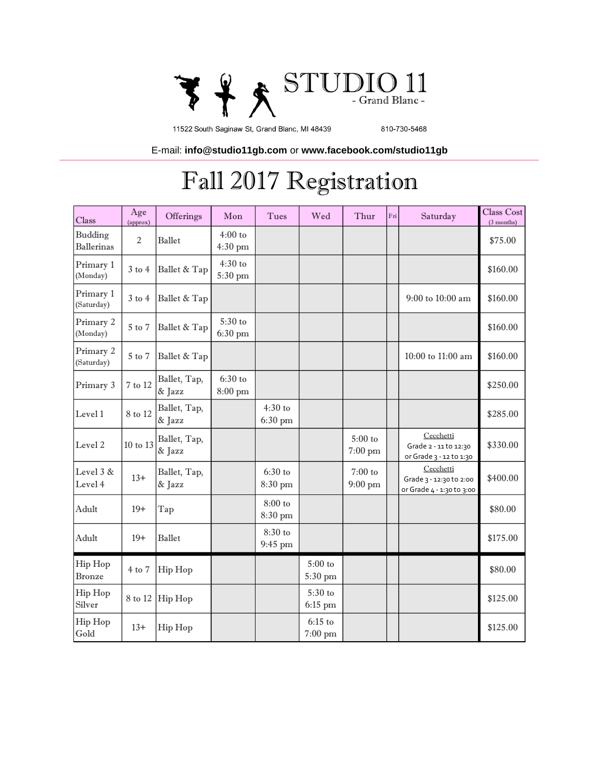

11522 South Saginaw St, Grand Blanc, MI 48439

810-730-5468

E-mail: **info@studio11gb.com** or **www.facebook.com/studio11gb** 

## Fall 2017 Registration

| Class                        | Age<br>(approx) | Offerings              | Mon                           | Tues                          | Wed                             | Thur                            | Fri | Saturday                                                          | Class Cost<br>$(3$ months) |
|------------------------------|-----------------|------------------------|-------------------------------|-------------------------------|---------------------------------|---------------------------------|-----|-------------------------------------------------------------------|----------------------------|
| Budding<br><b>Ballerinas</b> | $\overline{2}$  | Ballet                 | $4:00$ to<br>$4:30$ pm        |                               |                                 |                                 |     |                                                                   | \$75.00                    |
| Primary 1<br>(Monday)        | $3$ to $4$      | Ballet & Tap           | $4:30$ to<br>5:30 pm          |                               |                                 |                                 |     |                                                                   | \$160.00                   |
| Primary 1<br>(Saturday)      | $3$ to $4$      | Ballet & Tap           |                               |                               |                                 |                                 |     | 9:00 to 10:00 am                                                  | \$160.00                   |
| Primary 2<br>(Monday)        | 5 to 7          | Ballet & Tap           | 5:30 to<br>6:30 pm            |                               |                                 |                                 |     |                                                                   | \$160.00                   |
| Primary 2<br>(Saturday)      | 5 to 7          | Ballet & Tap           |                               |                               |                                 |                                 |     | 10:00 to 11:00 am                                                 | \$160.00                   |
| Primary 3                    | 7 to 12         | Ballet, Tap,<br>& Jazz | $6:30$ to<br>$8:00~\text{pm}$ |                               |                                 |                                 |     |                                                                   | \$250.00                   |
| Level 1                      | 8 to 12         | Ballet, Tap,<br>& Jazz |                               | $4:30$ to<br>$6:30$ pm        |                                 |                                 |     |                                                                   | \$285.00                   |
| Level 2                      | 10 to 13        | Ballet, Tap,<br>& Jazz |                               |                               |                                 | $5:00$ to<br>$7:00~\mathrm{pm}$ |     | Cecchetti<br>Grade 2 - 11 to 12:30<br>or Grade 3 - 12 to 1:30     | \$330.00                   |
| Level 3 &<br>Level 4         | $13+$           | Ballet, Tap,<br>& Jazz |                               | $6:30$ to<br>8:30 pm          |                                 | $7:00$ to<br>$9:00~\mathrm{pm}$ |     | Cecchetti<br>Grade 3 - 12:30 to 2:00<br>or Grade 4 - 1:30 to 3:00 | \$400.00                   |
| Adult                        | $19+$           | Tap                    |                               | $8:00$ to<br>8:30 pm          |                                 |                                 |     |                                                                   | \$80.00                    |
| Adult                        | $19+$           | <b>Ballet</b>          |                               | 8:30 to<br>$9:45~\mathrm{pm}$ |                                 |                                 |     |                                                                   | \$175.00                   |
| Hip Hop<br>Bronze            | $4$ to $7$      | Hip Hop                |                               |                               | $5:00$ to<br>5:30 pm            |                                 |     |                                                                   | \$80.00                    |
| Hip Hop<br>Silver            | 8 to 12         | Hip Hop                |                               |                               | 5:30 to<br>$6:15$ pm            |                                 |     |                                                                   | \$125.00                   |
| Hip Hop<br>Gold              | $13+$           | Hip Hop                |                               |                               | $6:15$ to<br>$7:00~\mathrm{pm}$ |                                 |     |                                                                   | \$125.00                   |